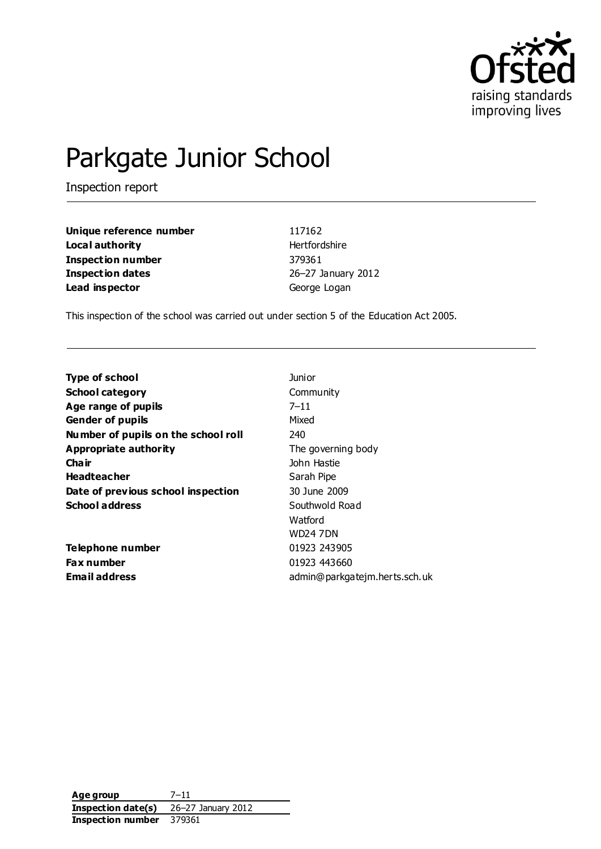

# Parkgate Junior School

Inspection report

| Unique reference number | 117162        |
|-------------------------|---------------|
| Local authority         | Hertfordshire |
| Inspection number       | 379361        |
| <b>Inspection dates</b> | 26-27 Januar  |
| Lead inspector          | George Logan  |

**January 2012** 

This inspection of the school was carried out under section 5 of the Education Act 2005.

| <b>Type of school</b>               | Junior                        |
|-------------------------------------|-------------------------------|
| <b>School category</b>              | Community                     |
| Age range of pupils                 | $7 - 11$                      |
| <b>Gender of pupils</b>             | Mixed                         |
| Number of pupils on the school roll | 240                           |
| Appropriate authority               | The governing body            |
| Cha ir                              | John Hastie                   |
| <b>Headteacher</b>                  | Sarah Pipe                    |
| Date of previous school inspection  | 30 June 2009                  |
| <b>School address</b>               | Southwold Road                |
|                                     | Watford                       |
|                                     | WD24 7DN                      |
| <b>Telephone number</b>             | 01923 243905                  |
| <b>Fax number</b>                   | 01923 443660                  |
| Email address                       | admin@parkgatejm.herts.sch.uk |

**Age group** 7–11 **Inspection date(s)** 26–27 January 2012 **Inspection number** 379361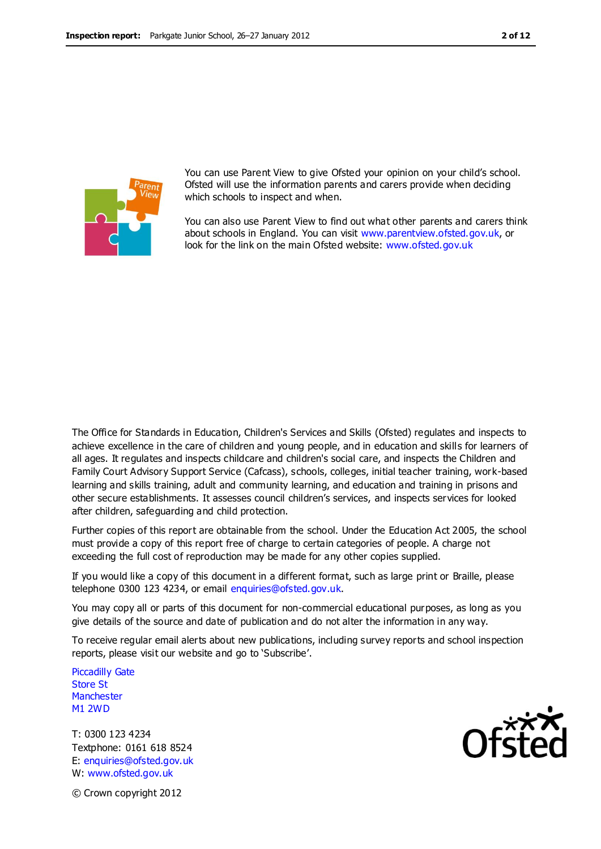

You can use Parent View to give Ofsted your opinion on your child's school. Ofsted will use the information parents and carers provide when deciding which schools to inspect and when.

You can also use Parent View to find out what other parents and carers think about schools in England. You can visit [www.parentview.ofsted.gov.uk,](http://www.parentview.ofsted.gov.uk/) or look for the link on the main Ofsted website: [www.ofsted.gov.uk](http://www.ofsted.gov.uk/)

The Office for Standards in Education, Children's Services and Skills (Ofsted) regulates and inspects to achieve excellence in the care of children and young people, and in education and skills for learners of all ages. It regulates and inspects childcare and children's social care, and inspects the Children and Family Court Advisory Support Service (Cafcass), schools, colleges, initial teacher training, work-based learning and skills training, adult and community learning, and education and training in prisons and other secure establishments. It assesses council children's services, and inspects services for looked after children, safeguarding and child protection.

Further copies of this report are obtainable from the school. Under the Education Act 2005, the school must provide a copy of this report free of charge to certain categories of people. A charge not exceeding the full cost of reproduction may be made for any other copies supplied.

If you would like a copy of this document in a different format, such as large print or Braille, please telephone 0300 123 4234, or email enquiries@ofsted.gov.uk.

You may copy all or parts of this document for non-commercial educational purposes, as long as you give details of the source and date of publication and do not alter the information in any way.

To receive regular email alerts about new publications, including survey reports and school inspection reports, please visit our website and go to 'Subscribe'.

Piccadilly Gate Store St **Manchester** M1 2WD

T: 0300 123 4234 Textphone: 0161 618 8524 E: enquiries@ofsted.gov.uk W: www.ofsted.gov.uk



© Crown copyright 2012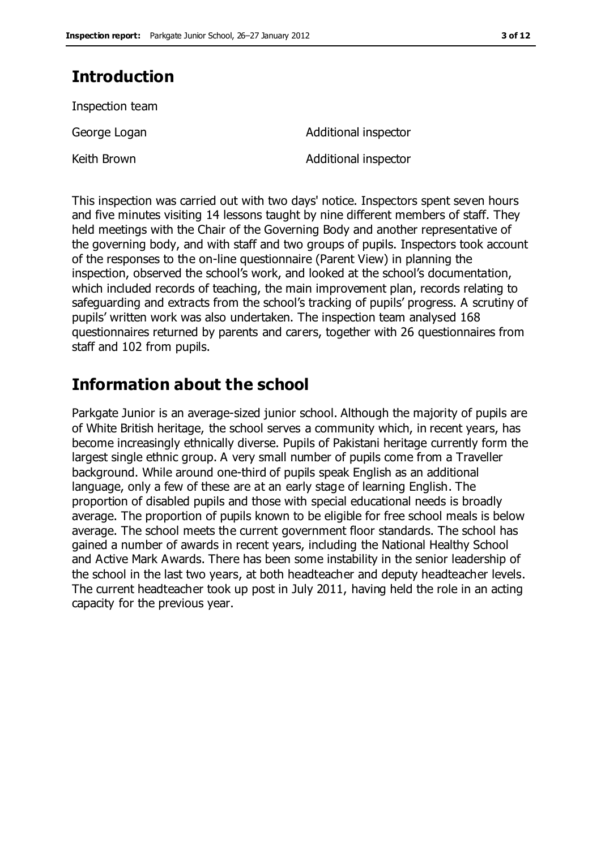# **Introduction**

Inspection team

Keith Brown **Additional inspector** 

George Logan **Additional inspector** 

This inspection was carried out with two days' notice. Inspectors spent seven hours and five minutes visiting 14 lessons taught by nine different members of staff. They held meetings with the Chair of the Governing Body and another representative of the governing body, and with staff and two groups of pupils. Inspectors took account of the responses to the on-line questionnaire (Parent View) in planning the inspection, observed the school's work, and looked at the school's documentation, which included records of teaching, the main improvement plan, records relating to safeguarding and extracts from the school's tracking of pupils' progress. A scrutiny of pupils' written work was also undertaken. The inspection team analysed 168 questionnaires returned by parents and carers, together with 26 questionnaires from staff and 102 from pupils.

# **Information about the school**

Parkgate Junior is an average-sized junior school. Although the majority of pupils are of White British heritage, the school serves a community which, in recent years, has become increasingly ethnically diverse. Pupils of Pakistani heritage currently form the largest single ethnic group. A very small number of pupils come from a Traveller background. While around one-third of pupils speak English as an additional language, only a few of these are at an early stage of learning English. The proportion of disabled pupils and those with special educational needs is broadly average. The proportion of pupils known to be eligible for free school meals is below average. The school meets the current government floor standards. The school has gained a number of awards in recent years, including the National Healthy School and Active Mark Awards. There has been some instability in the senior leadership of the school in the last two years, at both headteacher and deputy headteacher levels. The current headteacher took up post in July 2011, having held the role in an acting capacity for the previous year.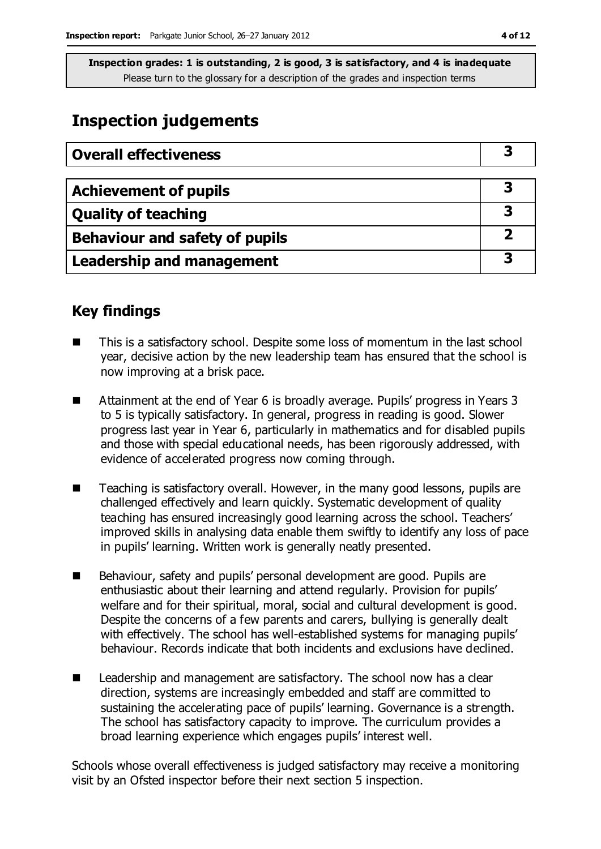## **Inspection judgements**

| <b>Overall effectiveness</b>     |  |
|----------------------------------|--|
|                                  |  |
| <b>Achievement of pupils</b>     |  |
| <b>Quality of teaching</b>       |  |
| Behaviour and safety of pupils   |  |
| <b>Leadership and management</b> |  |

### **Key findings**

- This is a satisfactory school. Despite some loss of momentum in the last school year, decisive action by the new leadership team has ensured that the school is now improving at a brisk pace.
- Attainment at the end of Year 6 is broadly average. Pupils' progress in Years 3 to 5 is typically satisfactory. In general, progress in reading is good. Slower progress last year in Year 6, particularly in mathematics and for disabled pupils and those with special educational needs, has been rigorously addressed, with evidence of accelerated progress now coming through.
- Teaching is satisfactory overall. However, in the many good lessons, pupils are challenged effectively and learn quickly. Systematic development of quality teaching has ensured increasingly good learning across the school. Teachers' improved skills in analysing data enable them swiftly to identify any loss of pace in pupils' learning. Written work is generally neatly presented.
- Behaviour, safety and pupils' personal development are good. Pupils are enthusiastic about their learning and attend regularly. Provision for pupils' welfare and for their spiritual, moral, social and cultural development is good. Despite the concerns of a few parents and carers, bullying is generally dealt with effectively. The school has well-established systems for managing pupils' behaviour. Records indicate that both incidents and exclusions have declined.
- Leadership and management are satisfactory. The school now has a clear direction, systems are increasingly embedded and staff are committed to sustaining the accelerating pace of pupils' learning. Governance is a strength. The school has satisfactory capacity to improve. The curriculum provides a broad learning experience which engages pupils' interest well.

Schools whose overall effectiveness is judged satisfactory may receive a monitoring visit by an Ofsted inspector before their next section 5 inspection.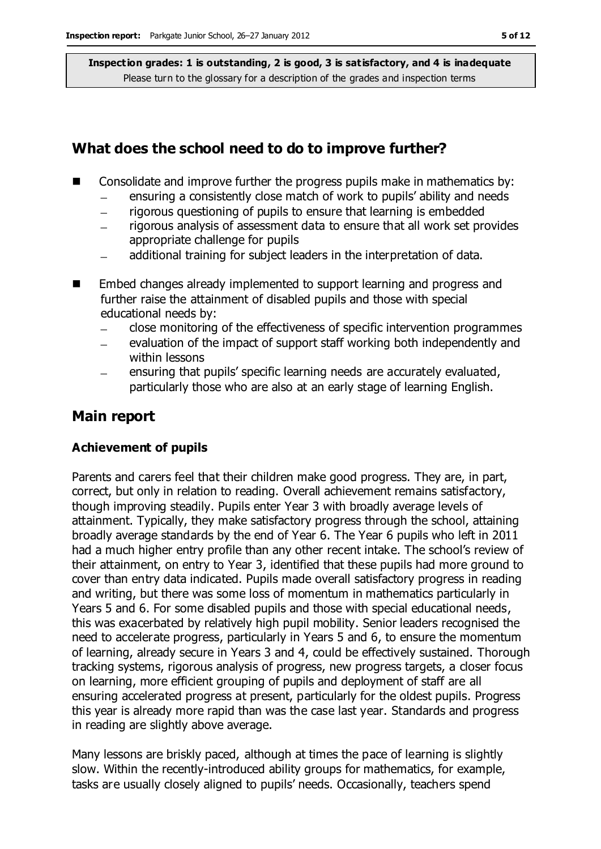#### **What does the school need to do to improve further?**

- $\blacksquare$  Consolidate and improve further the progress pupils make in mathematics by:
	- ensuring a consistently close match of work to pupils' ability and needs
	- rigorous questioning of pupils to ensure that learning is embedded  $\equiv$
	- rigorous analysis of assessment data to ensure that all work set provides appropriate challenge for pupils
	- additional training for subject leaders in the interpretation of data.  $\overline{\phantom{m}}$
- Embed changes already implemented to support learning and progress and further raise the attainment of disabled pupils and those with special educational needs by:
	- close monitoring of the effectiveness of specific intervention programmes
	- evaluation of the impact of support staff working both independently and  $\equiv$ within lessons
	- ensuring that pupils' specific learning needs are accurately evaluated, particularly those who are also at an early stage of learning English.

#### **Main report**

#### **Achievement of pupils**

Parents and carers feel that their children make good progress. They are, in part, correct, but only in relation to reading. Overall achievement remains satisfactory, though improving steadily. Pupils enter Year 3 with broadly average levels of attainment. Typically, they make satisfactory progress through the school, attaining broadly average standards by the end of Year 6. The Year 6 pupils who left in 2011 had a much higher entry profile than any other recent intake. The school's review of their attainment, on entry to Year 3, identified that these pupils had more ground to cover than entry data indicated. Pupils made overall satisfactory progress in reading and writing, but there was some loss of momentum in mathematics particularly in Years 5 and 6. For some disabled pupils and those with special educational needs, this was exacerbated by relatively high pupil mobility. Senior leaders recognised the need to accelerate progress, particularly in Years 5 and 6, to ensure the momentum of learning, already secure in Years 3 and 4, could be effectively sustained. Thorough tracking systems, rigorous analysis of progress, new progress targets, a closer focus on learning, more efficient grouping of pupils and deployment of staff are all ensuring accelerated progress at present, particularly for the oldest pupils. Progress this year is already more rapid than was the case last year. Standards and progress in reading are slightly above average.

Many lessons are briskly paced, although at times the pace of learning is slightly slow. Within the recently-introduced ability groups for mathematics, for example, tasks are usually closely aligned to pupils' needs. Occasionally, teachers spend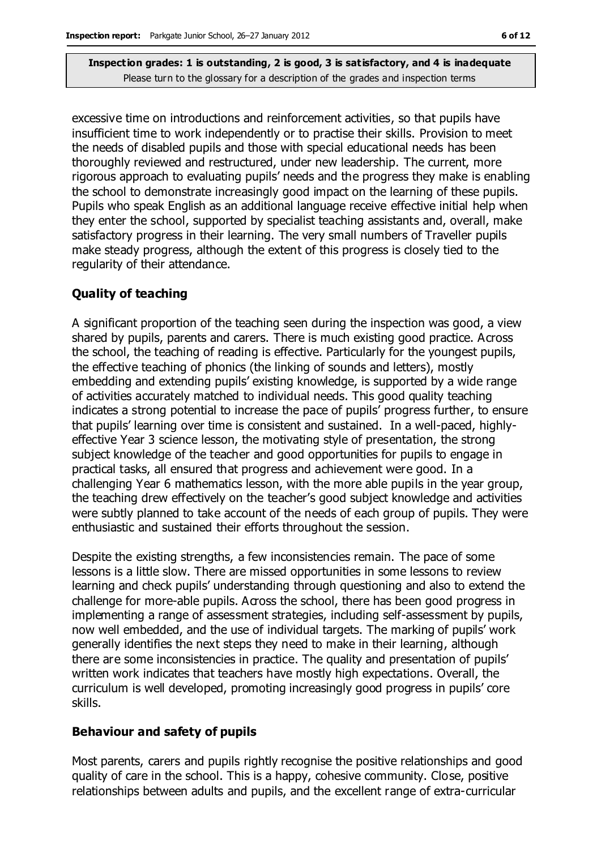excessive time on introductions and reinforcement activities, so that pupils have insufficient time to work independently or to practise their skills. Provision to meet the needs of disabled pupils and those with special educational needs has been thoroughly reviewed and restructured, under new leadership. The current, more rigorous approach to evaluating pupils' needs and the progress they make is enabling the school to demonstrate increasingly good impact on the learning of these pupils. Pupils who speak English as an additional language receive effective initial help when they enter the school, supported by specialist teaching assistants and, overall, make satisfactory progress in their learning. The very small numbers of Traveller pupils make steady progress, although the extent of this progress is closely tied to the regularity of their attendance.

#### **Quality of teaching**

A significant proportion of the teaching seen during the inspection was good, a view shared by pupils, parents and carers. There is much existing good practice. Across the school, the teaching of reading is effective. Particularly for the youngest pupils, the effective teaching of phonics (the linking of sounds and letters), mostly embedding and extending pupils' existing knowledge, is supported by a wide range of activities accurately matched to individual needs. This good quality teaching indicates a strong potential to increase the pace of pupils' progress further, to ensure that pupils' learning over time is consistent and sustained. In a well-paced, highlyeffective Year 3 science lesson, the motivating style of presentation, the strong subject knowledge of the teacher and good opportunities for pupils to engage in practical tasks, all ensured that progress and achievement were good. In a challenging Year 6 mathematics lesson, with the more able pupils in the year group, the teaching drew effectively on the teacher's good subject knowledge and activities were subtly planned to take account of the needs of each group of pupils. They were enthusiastic and sustained their efforts throughout the session.

Despite the existing strengths, a few inconsistencies remain. The pace of some lessons is a little slow. There are missed opportunities in some lessons to review learning and check pupils' understanding through questioning and also to extend the challenge for more-able pupils. Across the school, there has been good progress in implementing a range of assessment strategies, including self-assessment by pupils, now well embedded, and the use of individual targets. The marking of pupils' work generally identifies the next steps they need to make in their learning, although there are some inconsistencies in practice. The quality and presentation of pupils' written work indicates that teachers have mostly high expectations. Overall, the curriculum is well developed, promoting increasingly good progress in pupils' core skills.

#### **Behaviour and safety of pupils**

Most parents, carers and pupils rightly recognise the positive relationships and good quality of care in the school. This is a happy, cohesive community. Close, positive relationships between adults and pupils, and the excellent range of extra-curricular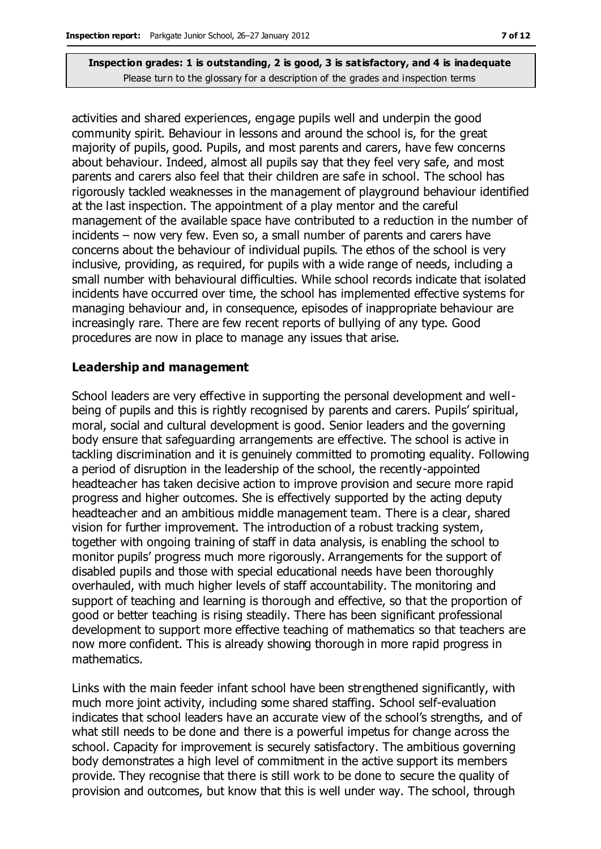activities and shared experiences, engage pupils well and underpin the good community spirit. Behaviour in lessons and around the school is, for the great majority of pupils, good. Pupils, and most parents and carers, have few concerns about behaviour. Indeed, almost all pupils say that they feel very safe, and most parents and carers also feel that their children are safe in school. The school has rigorously tackled weaknesses in the management of playground behaviour identified at the last inspection. The appointment of a play mentor and the careful management of the available space have contributed to a reduction in the number of incidents – now very few. Even so, a small number of parents and carers have concerns about the behaviour of individual pupils. The ethos of the school is very inclusive, providing, as required, for pupils with a wide range of needs, including a small number with behavioural difficulties. While school records indicate that isolated incidents have occurred over time, the school has implemented effective systems for managing behaviour and, in consequence, episodes of inappropriate behaviour are increasingly rare. There are few recent reports of bullying of any type. Good procedures are now in place to manage any issues that arise.

#### **Leadership and management**

School leaders are very effective in supporting the personal development and wellbeing of pupils and this is rightly recognised by parents and carers. Pupils' spiritual, moral, social and cultural development is good. Senior leaders and the governing body ensure that safeguarding arrangements are effective. The school is active in tackling discrimination and it is genuinely committed to promoting equality. Following a period of disruption in the leadership of the school, the recently-appointed headteacher has taken decisive action to improve provision and secure more rapid progress and higher outcomes. She is effectively supported by the acting deputy headteacher and an ambitious middle management team. There is a clear, shared vision for further improvement. The introduction of a robust tracking system, together with ongoing training of staff in data analysis, is enabling the school to monitor pupils' progress much more rigorously. Arrangements for the support of disabled pupils and those with special educational needs have been thoroughly overhauled, with much higher levels of staff accountability. The monitoring and support of teaching and learning is thorough and effective, so that the proportion of good or better teaching is rising steadily. There has been significant professional development to support more effective teaching of mathematics so that teachers are now more confident. This is already showing thorough in more rapid progress in mathematics.

Links with the main feeder infant school have been strengthened significantly, with much more joint activity, including some shared staffing. School self-evaluation indicates that school leaders have an accurate view of the school's strengths, and of what still needs to be done and there is a powerful impetus for change across the school. Capacity for improvement is securely satisfactory. The ambitious governing body demonstrates a high level of commitment in the active support its members provide. They recognise that there is still work to be done to secure the quality of provision and outcomes, but know that this is well under way. The school, through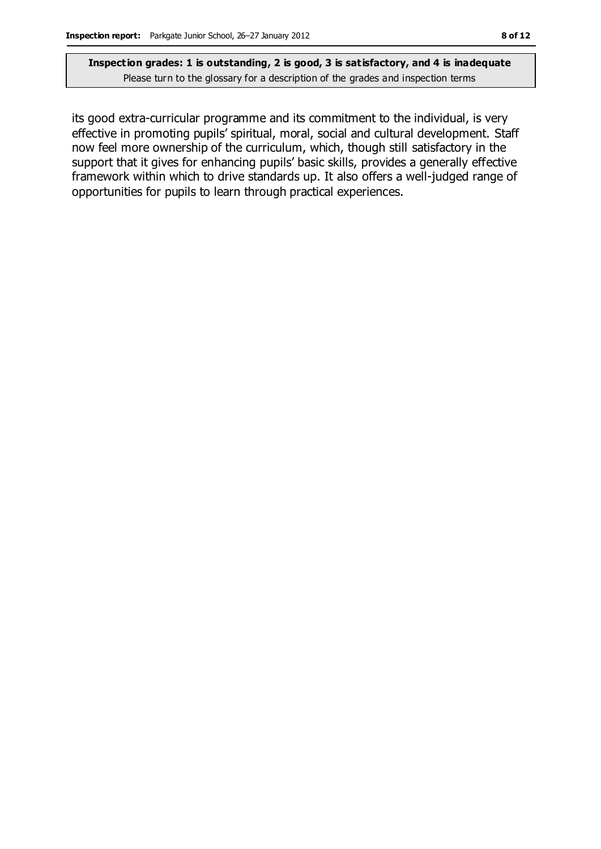its good extra-curricular programme and its commitment to the individual, is very effective in promoting pupils' spiritual, moral, social and cultural development. Staff now feel more ownership of the curriculum, which, though still satisfactory in the support that it gives for enhancing pupils' basic skills, provides a generally effective framework within which to drive standards up. It also offers a well-judged range of opportunities for pupils to learn through practical experiences.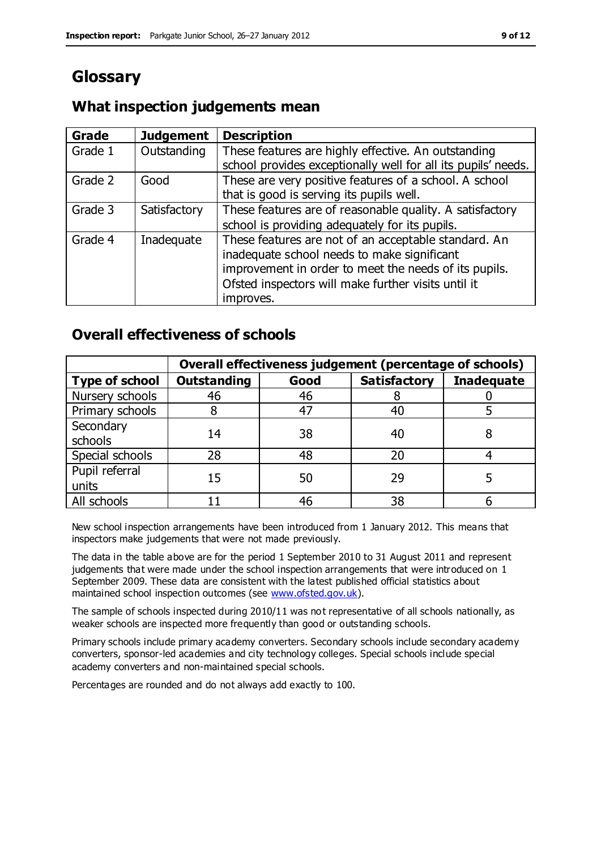# **Glossary**

#### **What inspection judgements mean**

| <b>Grade</b> | <b>Judgement</b> | <b>Description</b>                                                                                                   |
|--------------|------------------|----------------------------------------------------------------------------------------------------------------------|
| Grade 1      | Outstanding      | These features are highly effective. An outstanding<br>school provides exceptionally well for all its pupils' needs. |
|              |                  |                                                                                                                      |
| Grade 2      | Good             | These are very positive features of a school. A school                                                               |
|              |                  | that is good is serving its pupils well.                                                                             |
| Grade 3      | Satisfactory     | These features are of reasonable quality. A satisfactory                                                             |
|              |                  | school is providing adequately for its pupils.                                                                       |
| Grade 4      | Inadequate       | These features are not of an acceptable standard. An                                                                 |
|              |                  | inadequate school needs to make significant                                                                          |
|              |                  | improvement in order to meet the needs of its pupils.                                                                |
|              |                  | Ofsted inspectors will make further visits until it                                                                  |
|              |                  | improves.                                                                                                            |

#### **Overall effectiveness of schools**

|                         | Overall effectiveness judgement (percentage of schools) |      |                     |                   |
|-------------------------|---------------------------------------------------------|------|---------------------|-------------------|
| <b>Type of school</b>   | <b>Outstanding</b>                                      | Good | <b>Satisfactory</b> | <b>Inadequate</b> |
| Nursery schools         | 46                                                      | 46   |                     |                   |
| Primary schools         |                                                         | 47   | 40                  |                   |
| Secondary<br>schools    | 14                                                      | 38   | 40                  |                   |
| Special schools         | 28                                                      | 48   | 20                  |                   |
| Pupil referral<br>units | 15                                                      | 50   | 29                  |                   |
| All schools             |                                                         | 46   | 38                  |                   |

New school inspection arrangements have been introduced from 1 January 2012. This means that inspectors make judgements that were not made previously.

The data in the table above are for the period 1 September 2010 to 31 August 2011 and represent judgements that were made under the school inspection arrangements that were introduced on 1 September 2009. These data are consistent with the latest published official statistics about maintained school inspection outcomes (see [www.ofsted.gov.uk\)](http://www.ofsted.gov.uk/).

The sample of schools inspected during 2010/11 was not representative of all schools nationally, as weaker schools are inspected more frequently than good or outstanding schools.

Primary schools include primary academy converters. Secondary schools include secondary academy converters, sponsor-led academies and city technology colleges. Special schools include special academy converters and non-maintained special schools.

Percentages are rounded and do not always add exactly to 100.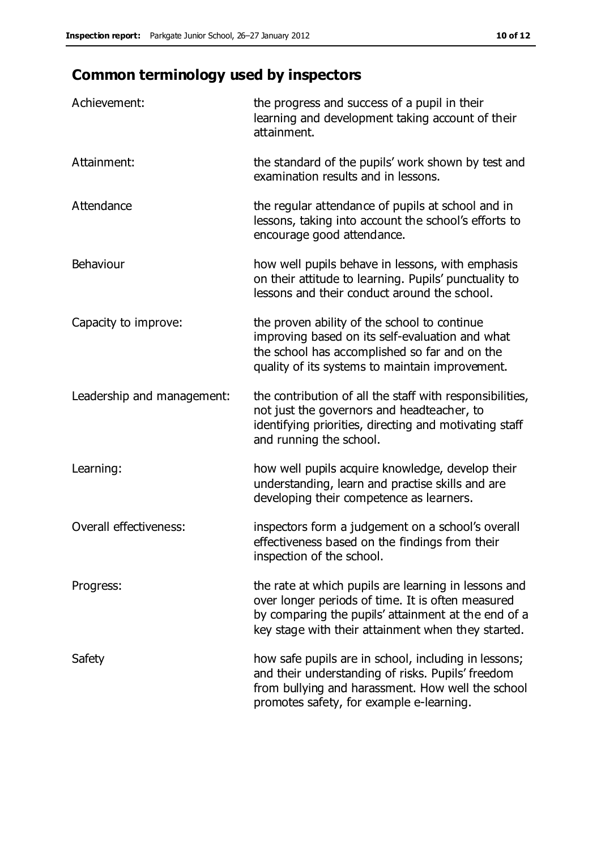# **Common terminology used by inspectors**

| Achievement:               | the progress and success of a pupil in their<br>learning and development taking account of their<br>attainment.                                                                                                        |
|----------------------------|------------------------------------------------------------------------------------------------------------------------------------------------------------------------------------------------------------------------|
| Attainment:                | the standard of the pupils' work shown by test and<br>examination results and in lessons.                                                                                                                              |
| Attendance                 | the regular attendance of pupils at school and in<br>lessons, taking into account the school's efforts to<br>encourage good attendance.                                                                                |
| Behaviour                  | how well pupils behave in lessons, with emphasis<br>on their attitude to learning. Pupils' punctuality to<br>lessons and their conduct around the school.                                                              |
| Capacity to improve:       | the proven ability of the school to continue<br>improving based on its self-evaluation and what<br>the school has accomplished so far and on the<br>quality of its systems to maintain improvement.                    |
| Leadership and management: | the contribution of all the staff with responsibilities,<br>not just the governors and headteacher, to<br>identifying priorities, directing and motivating staff<br>and running the school.                            |
| Learning:                  | how well pupils acquire knowledge, develop their<br>understanding, learn and practise skills and are<br>developing their competence as learners.                                                                       |
| Overall effectiveness:     | inspectors form a judgement on a school's overall<br>effectiveness based on the findings from their<br>inspection of the school.                                                                                       |
| Progress:                  | the rate at which pupils are learning in lessons and<br>over longer periods of time. It is often measured<br>by comparing the pupils' attainment at the end of a<br>key stage with their attainment when they started. |
| Safety                     | how safe pupils are in school, including in lessons;<br>and their understanding of risks. Pupils' freedom<br>from bullying and harassment. How well the school<br>promotes safety, for example e-learning.             |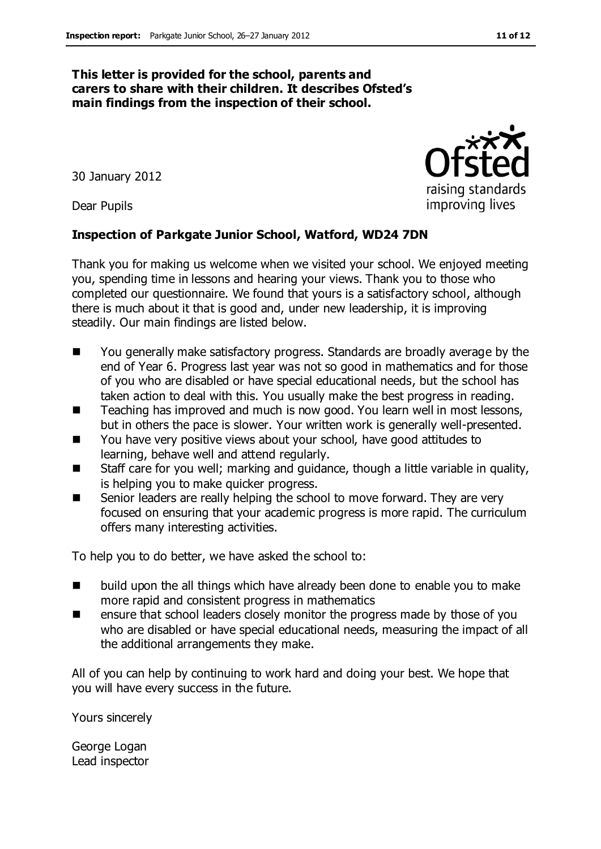#### **This letter is provided for the school, parents and carers to share with their children. It describes Ofsted's main findings from the inspection of their school.**

30 January 2012

Dear Pupils

#### **Inspection of Parkgate Junior School, Watford, WD24 7DN**

Thank you for making us welcome when we visited your school. We enjoyed meeting you, spending time in lessons and hearing your views. Thank you to those who completed our questionnaire. We found that yours is a satisfactory school, although there is much about it that is good and, under new leadership, it is improving steadily. Our main findings are listed below.

- You generally make satisfactory progress. Standards are broadly average by the end of Year 6. Progress last year was not so good in mathematics and for those of you who are disabled or have special educational needs, but the school has taken action to deal with this. You usually make the best progress in reading.
- Teaching has improved and much is now good. You learn well in most lessons, but in others the pace is slower. Your written work is generally well-presented.
- You have very positive views about your school, have good attitudes to learning, behave well and attend regularly.
- Staff care for you well; marking and guidance, though a little variable in quality, is helping you to make quicker progress.
- Senior leaders are really helping the school to move forward. They are very focused on ensuring that your academic progress is more rapid. The curriculum offers many interesting activities.

To help you to do better, we have asked the school to:

- build upon the all things which have already been done to enable you to make more rapid and consistent progress in mathematics
- ensure that school leaders closely monitor the progress made by those of you who are disabled or have special educational needs, measuring the impact of all the additional arrangements they make.

All of you can help by continuing to work hard and doing your best. We hope that you will have every success in the future.

Yours sincerely

George Logan Lead inspector